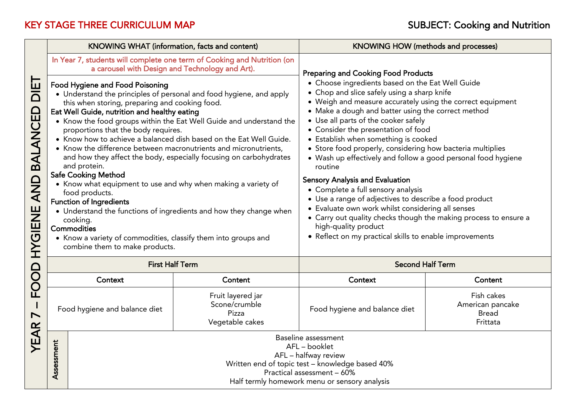|                                 | KNOWING WHAT (information, facts and content)                                                                                                                                                                                                                                                                                                                                                                                                                                                                                                                                                                                                                                                                                                                                                                                                                                                                                                                                                                                                       |                                                                                                                                                                                                | KNOWING HOW (methods and processes)                                                                                                                                                                                                                                                                                                                                                                                                                                                                                                                                                                                                                                                                                                                                                                                                                                                      |                                                            |  |  |
|---------------------------------|-----------------------------------------------------------------------------------------------------------------------------------------------------------------------------------------------------------------------------------------------------------------------------------------------------------------------------------------------------------------------------------------------------------------------------------------------------------------------------------------------------------------------------------------------------------------------------------------------------------------------------------------------------------------------------------------------------------------------------------------------------------------------------------------------------------------------------------------------------------------------------------------------------------------------------------------------------------------------------------------------------------------------------------------------------|------------------------------------------------------------------------------------------------------------------------------------------------------------------------------------------------|------------------------------------------------------------------------------------------------------------------------------------------------------------------------------------------------------------------------------------------------------------------------------------------------------------------------------------------------------------------------------------------------------------------------------------------------------------------------------------------------------------------------------------------------------------------------------------------------------------------------------------------------------------------------------------------------------------------------------------------------------------------------------------------------------------------------------------------------------------------------------------------|------------------------------------------------------------|--|--|
| іш<br>О<br>HYGIENE AND BALANCED | In Year 7, students will complete one term of Cooking and Nutrition (on<br>a carousel with Design and Technology and Art).<br><b>Food Hygiene and Food Poisoning</b><br>• Understand the principles of personal and food hygiene, and apply<br>this when storing, preparing and cooking food.<br>Eat Well Guide, nutrition and healthy eating<br>• Know the food groups within the Eat Well Guide and understand the<br>proportions that the body requires.<br>• Know how to achieve a balanced dish based on the Eat Well Guide.<br>• Know the difference between macronutrients and micronutrients,<br>and how they affect the body, especially focusing on carbohydrates<br>and protein.<br><b>Safe Cooking Method</b><br>• Know what equipment to use and why when making a variety of<br>food products.<br><b>Function of Ingredients</b><br>• Understand the functions of ingredients and how they change when<br>cooking.<br>Commodities<br>• Know a variety of commodities, classify them into groups and<br>combine them to make products. |                                                                                                                                                                                                | <b>Preparing and Cooking Food Products</b><br>• Choose ingredients based on the Eat Well Guide<br>• Chop and slice safely using a sharp knife<br>• Weigh and measure accurately using the correct equipment<br>• Make a dough and batter using the correct method<br>• Use all parts of the cooker safely<br>• Consider the presentation of food<br>• Establish when something is cooked<br>• Store food properly, considering how bacteria multiplies<br>• Wash up effectively and follow a good personal food hygiene<br>routine<br><b>Sensory Analysis and Evaluation</b><br>• Complete a full sensory analysis<br>• Use a range of adjectives to describe a food product<br>• Evaluate own work whilst considering all senses<br>• Carry out quality checks though the making process to ensure a<br>high-quality product<br>• Reflect on my practical skills to enable improvements |                                                            |  |  |
|                                 | <b>First Half Term</b>                                                                                                                                                                                                                                                                                                                                                                                                                                                                                                                                                                                                                                                                                                                                                                                                                                                                                                                                                                                                                              |                                                                                                                                                                                                | <b>Second Half Term</b>                                                                                                                                                                                                                                                                                                                                                                                                                                                                                                                                                                                                                                                                                                                                                                                                                                                                  |                                                            |  |  |
| FOOD                            | Context                                                                                                                                                                                                                                                                                                                                                                                                                                                                                                                                                                                                                                                                                                                                                                                                                                                                                                                                                                                                                                             | Content                                                                                                                                                                                        | Context                                                                                                                                                                                                                                                                                                                                                                                                                                                                                                                                                                                                                                                                                                                                                                                                                                                                                  | Content                                                    |  |  |
| $\blacksquare$                  | Food hygiene and balance diet                                                                                                                                                                                                                                                                                                                                                                                                                                                                                                                                                                                                                                                                                                                                                                                                                                                                                                                                                                                                                       | Fruit layered jar<br>Scone/crumble<br>Pizza<br>Vegetable cakes                                                                                                                                 | Food hygiene and balance diet                                                                                                                                                                                                                                                                                                                                                                                                                                                                                                                                                                                                                                                                                                                                                                                                                                                            | Fish cakes<br>American pancake<br><b>Bread</b><br>Frittata |  |  |
| YEAR                            | Assessment                                                                                                                                                                                                                                                                                                                                                                                                                                                                                                                                                                                                                                                                                                                                                                                                                                                                                                                                                                                                                                          | Baseline assessment<br>AFL - booklet<br>AFL - halfway review<br>Written end of topic test - knowledge based 40%<br>Practical assessment - 60%<br>Half termly homework menu or sensory analysis |                                                                                                                                                                                                                                                                                                                                                                                                                                                                                                                                                                                                                                                                                                                                                                                                                                                                                          |                                                            |  |  |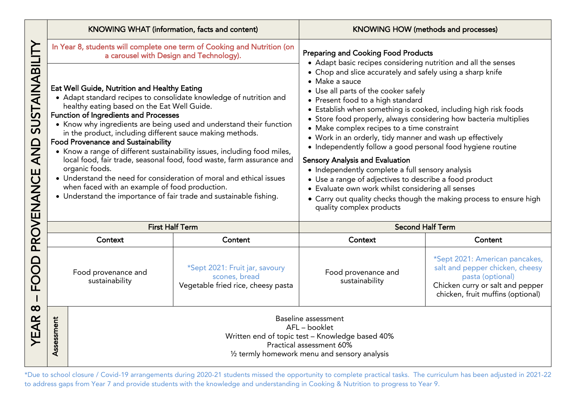|                                          |                                                                                                                                                                                                                                                                                                                                                                                                                                                                                                                                                                                                                                                                                                                                                                          | KNOWING WHAT (information, facts and content)                                                                                                                                  |                                                                                                                                                                                                                                                                                                                                                                                                                                                                                                                                                                                                                                                                                                                                                                                              | <b>KNOWING HOW (methods and processes)</b>                                                                   |                                                                                                                                                                |
|------------------------------------------|--------------------------------------------------------------------------------------------------------------------------------------------------------------------------------------------------------------------------------------------------------------------------------------------------------------------------------------------------------------------------------------------------------------------------------------------------------------------------------------------------------------------------------------------------------------------------------------------------------------------------------------------------------------------------------------------------------------------------------------------------------------------------|--------------------------------------------------------------------------------------------------------------------------------------------------------------------------------|----------------------------------------------------------------------------------------------------------------------------------------------------------------------------------------------------------------------------------------------------------------------------------------------------------------------------------------------------------------------------------------------------------------------------------------------------------------------------------------------------------------------------------------------------------------------------------------------------------------------------------------------------------------------------------------------------------------------------------------------------------------------------------------------|--------------------------------------------------------------------------------------------------------------|----------------------------------------------------------------------------------------------------------------------------------------------------------------|
|                                          |                                                                                                                                                                                                                                                                                                                                                                                                                                                                                                                                                                                                                                                                                                                                                                          | In Year 8, students will complete one term of Cooking and Nutrition (on<br>a carousel with Design and Technology).                                                             |                                                                                                                                                                                                                                                                                                                                                                                                                                                                                                                                                                                                                                                                                                                                                                                              | <b>Preparing and Cooking Food Products</b><br>• Adapt basic recipes considering nutrition and all the senses |                                                                                                                                                                |
| SUSTAINABILI<br><b>QNA</b><br>PROVENANCE | Eat Well Guide, Nutrition and Healthy Eating<br>• Adapt standard recipes to consolidate knowledge of nutrition and<br>healthy eating based on the Eat Well Guide.<br><b>Function of Ingredients and Processes</b><br>• Know why ingredients are being used and understand their function<br>in the product, including different sauce making methods.<br><b>Food Provenance and Sustainability</b><br>• Know a range of different sustainability issues, including food miles,<br>local food, fair trade, seasonal food, food waste, farm assurance and<br>organic foods.<br>• Understand the need for consideration of moral and ethical issues<br>when faced with an example of food production.<br>• Understand the importance of fair trade and sustainable fishing. |                                                                                                                                                                                | • Chop and slice accurately and safely using a sharp knife<br>• Make a sauce<br>• Use all parts of the cooker safely<br>• Present food to a high standard<br>• Establish when something is cooked, including high risk foods<br>• Store food properly, always considering how bacteria multiplies<br>• Make complex recipes to a time constraint<br>• Work in an orderly, tidy manner and wash up effectively<br>• Independently follow a good personal food hygiene routine<br><b>Sensory Analysis and Evaluation</b><br>• Independently complete a full sensory analysis<br>• Use a range of adjectives to describe a food product<br>• Evaluate own work whilst considering all senses<br>• Carry out quality checks though the making process to ensure high<br>quality complex products |                                                                                                              |                                                                                                                                                                |
|                                          | <b>First Half Term</b>                                                                                                                                                                                                                                                                                                                                                                                                                                                                                                                                                                                                                                                                                                                                                   |                                                                                                                                                                                | <b>Second Half Term</b>                                                                                                                                                                                                                                                                                                                                                                                                                                                                                                                                                                                                                                                                                                                                                                      |                                                                                                              |                                                                                                                                                                |
|                                          |                                                                                                                                                                                                                                                                                                                                                                                                                                                                                                                                                                                                                                                                                                                                                                          | Context                                                                                                                                                                        | Content                                                                                                                                                                                                                                                                                                                                                                                                                                                                                                                                                                                                                                                                                                                                                                                      | Context                                                                                                      | Content                                                                                                                                                        |
| <b>DODE</b>                              |                                                                                                                                                                                                                                                                                                                                                                                                                                                                                                                                                                                                                                                                                                                                                                          | Food provenance and<br>sustainability                                                                                                                                          | *Sept 2021: Fruit jar, savoury<br>scones, bread<br>Vegetable fried rice, cheesy pasta                                                                                                                                                                                                                                                                                                                                                                                                                                                                                                                                                                                                                                                                                                        | Food provenance and<br>sustainability                                                                        | *Sept 2021: American pancakes,<br>salt and pepper chicken, cheesy<br>pasta (optional)<br>Chicken curry or salt and pepper<br>chicken, fruit muffins (optional) |
| $\infty$<br>YEAR                         | Assessment                                                                                                                                                                                                                                                                                                                                                                                                                                                                                                                                                                                                                                                                                                                                                               | Baseline assessment<br>AFL - booklet<br>Written end of topic test - Knowledge based 40%<br>Practical assessment 60%<br>$\frac{1}{2}$ termly homework menu and sensory analysis |                                                                                                                                                                                                                                                                                                                                                                                                                                                                                                                                                                                                                                                                                                                                                                                              |                                                                                                              |                                                                                                                                                                |

to school cape from Yoar 7 and provide students with the knowledge and understanding in Cooking 8. Nutrition to procress to Yoar 8. to address gaps from Year 7 and provide students with the knowledge and understanding in Cooking & Nutrition to progress to Year 9.